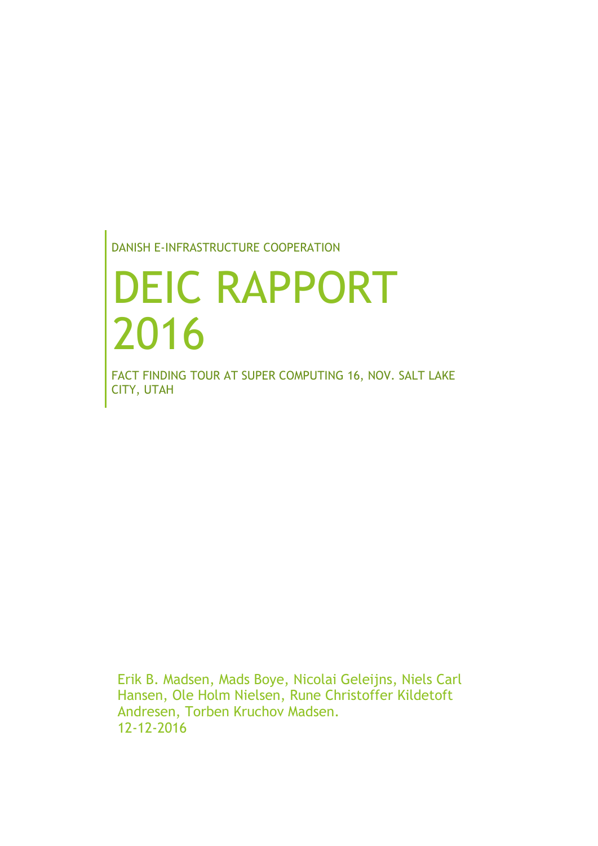DANISH E-INFRASTRUCTURE COOPERATION

# DEIC RAPPORT 2016

FACT FINDING TOUR AT SUPER COMPUTING 16, NOV. SALT LAKE CITY, UTAH

Erik B. Madsen, Mads Boye, Nicolai Geleijns, Niels Carl Hansen, Ole Holm Nielsen, Rune Christoffer Kildetoft Andresen, Torben Kruchov Madsen. 12-12-2016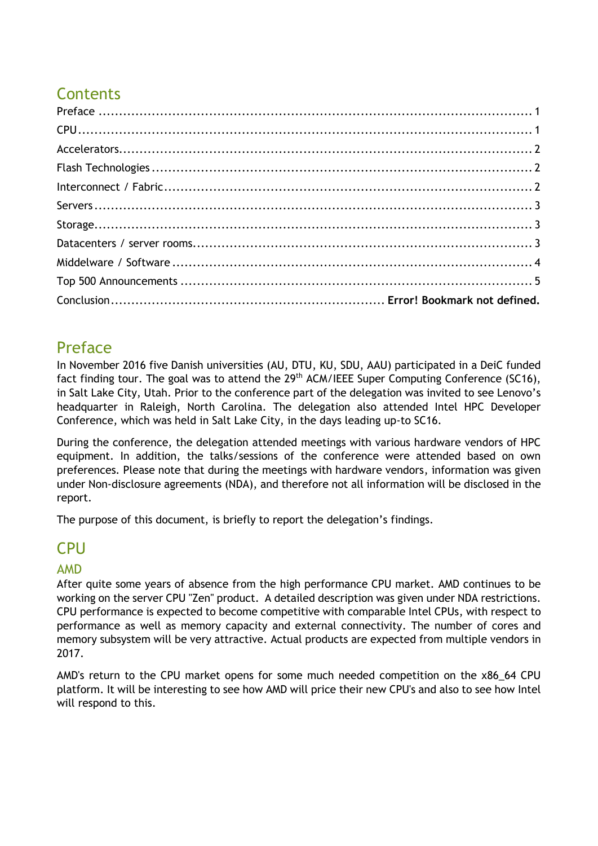# **Contents**

# <span id="page-1-0"></span>Preface

In November 2016 five Danish universities (AU, DTU, KU, SDU, AAU) participated in a DeiC funded fact finding tour. The goal was to attend the 29<sup>th</sup> ACM/IEEE Super Computing Conference (SC16), in Salt Lake City, Utah. Prior to the conference part of the delegation was invited to see Lenovo's headquarter in Raleigh, North Carolina. The delegation also attended Intel HPC Developer Conference, which was held in Salt Lake City, in the days leading up-to SC16.

During the conference, the delegation attended meetings with various hardware vendors of HPC equipment. In addition, the talks/sessions of the conference were attended based on own preferences. Please note that during the meetings with hardware vendors, information was given under Non-disclosure agreements (NDA), and therefore not all information will be disclosed in the report.

The purpose of this document, is briefly to report the delegation's findings.

# <span id="page-1-1"></span>CPU

## AMD

After quite some years of absence from the high performance CPU market. AMD continues to be working on the server CPU "Zen" product. A detailed description was given under NDA restrictions. CPU performance is expected to become competitive with comparable Intel CPUs, with respect to performance as well as memory capacity and external connectivity. The number of cores and memory subsystem will be very attractive. Actual products are expected from multiple vendors in 2017.

AMD's return to the CPU market opens for some much needed competition on the x86\_64 CPU platform. It will be interesting to see how AMD will price their new CPU's and also to see how Intel will respond to this.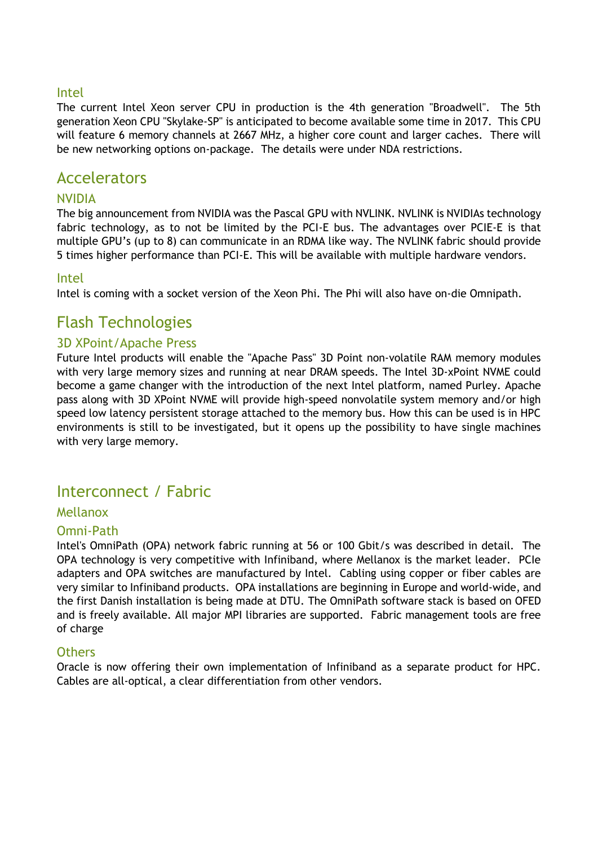#### Intel

The current Intel Xeon server CPU in production is the 4th generation "Broadwell". The 5th generation Xeon CPU "Skylake-SP" is anticipated to become available some time in 2017. This CPU will feature 6 memory channels at 2667 MHz, a higher core count and larger caches. There will be new networking options on-package. The details were under NDA restrictions.

## <span id="page-2-0"></span>Accelerators

#### NVIDIA

The big announcement from NVIDIA was the Pascal GPU with NVLINK. NVLINK is NVIDIAs technology fabric technology, as to not be limited by the PCI-E bus. The advantages over PCIE-E is that multiple GPU's (up to 8) can communicate in an RDMA like way. The NVLINK fabric should provide 5 times higher performance than PCI-E. This will be available with multiple hardware vendors.

#### Intel

Intel is coming with a socket version of the Xeon Phi. The Phi will also have on-die Omnipath.

## <span id="page-2-1"></span>Flash Technologies

#### 3D XPoint/Apache Press

Future Intel products will enable the "Apache Pass" 3D Point non-volatile RAM memory modules with very large memory sizes and running at near DRAM speeds. The Intel 3D-xPoint NVME could become a game changer with the introduction of the next Intel platform, named Purley. Apache pass along with 3D XPoint NVME will provide high-speed nonvolatile system memory and/or high speed low latency persistent storage attached to the memory bus. How this can be used is in HPC environments is still to be investigated, but it opens up the possibility to have single machines with very large memory.

## <span id="page-2-2"></span>Interconnect / Fabric

#### Mellanox

#### Omni-Path

Intel's OmniPath (OPA) network fabric running at 56 or 100 Gbit/s was described in detail. The OPA technology is very competitive with Infiniband, where Mellanox is the market leader. PCIe adapters and OPA switches are manufactured by Intel. Cabling using copper or fiber cables are very similar to Infiniband products. OPA installations are beginning in Europe and world-wide, and the first Danish installation is being made at DTU. The OmniPath software stack is based on OFED and is freely available. All major MPI libraries are supported. Fabric management tools are free of charge

#### Others

Oracle is now offering their own implementation of Infiniband as a separate product for HPC. Cables are all-optical, a clear differentiation from other vendors.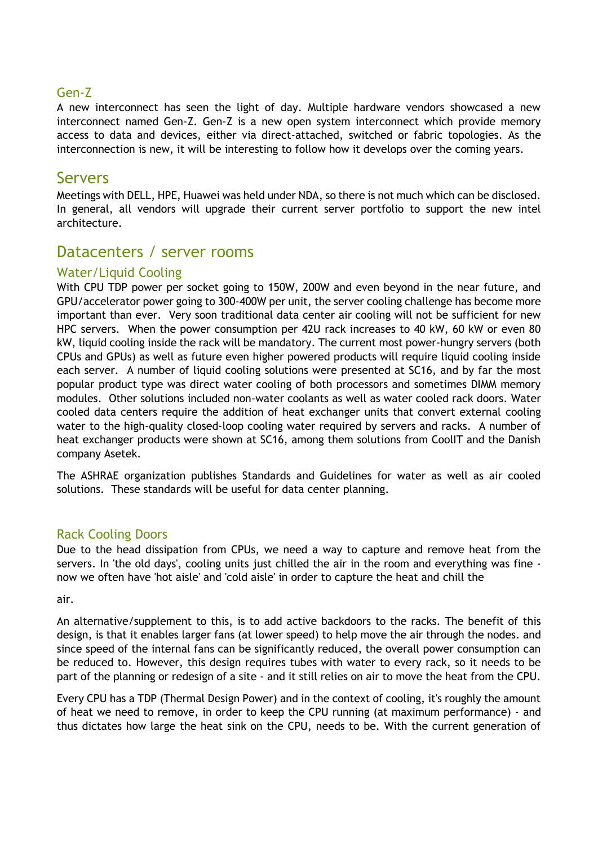#### Gen-Z

A new interconnect has seen the light of day. Multiple hardware vendors showcased a new interconnect named Gen-Z. Gen-Z is a new open system interconnect which provide memory access to data and devices, either via direct-attached, switched or fabric topologies. As the interconnection is new, it will be interesting to follow how it develops over the coming years.

### <span id="page-3-0"></span>Servers

<span id="page-3-1"></span>Meetings with DELL, HPE, Huawei was held under NDA, so there is not much which can be disclosed. In general, all vendors will upgrade their current server portfolio to support the new intel architecture.

## <span id="page-3-2"></span>Datacenters / server rooms

#### Water/Liquid Cooling

With CPU TDP power per socket going to 150W, 200W and even beyond in the near future, and GPU/accelerator power going to 300-400W per unit, the server cooling challenge has become more important than ever. Very soon traditional data center air cooling will not be sufficient for new HPC servers. When the power consumption per 42U rack increases to 40 kW, 60 kW or even 80 kW, liquid cooling inside the rack will be mandatory. The current most power-hungry servers (both CPUs and GPUs) as well as future even higher powered products will require liquid cooling inside each server. A number of liquid cooling solutions were presented at SC16, and by far the most popular product type was direct water cooling of both processors and sometimes DIMM memory modules. Other solutions included non-water coolants as well as water cooled rack doors. Water cooled data centers require the addition of heat exchanger units that convert external cooling water to the high-quality closed-loop cooling water required by servers and racks. A number of heat exchanger products were shown at SC16, among them solutions from CoolIT and the Danish company Asetek.

The ASHRAE organization publishes Standards and Guidelines for water as well as air cooled solutions. These standards will be useful for data center planning.

#### Rack Cooling Doors

Due to the head dissipation from CPUs, we need a way to capture and remove heat from the servers. In 'the old days', cooling units just chilled the air in the room and everything was fine now we often have 'hot aisle' and 'cold aisle' in order to capture the heat and chill the

air.

An alternative/supplement to this, is to add active backdoors to the racks. The benefit of this design, is that it enables larger fans (at lower speed) to help move the air through the nodes. and since speed of the internal fans can be significantly reduced, the overall power consumption can be reduced to. However, this design requires tubes with water to every rack, so it needs to be part of the planning or redesign of a site - and it still relies on air to move the heat from the CPU.

Every CPU has a TDP (Thermal Design Power) and in the context of cooling, it's roughly the amount of heat we need to remove, in order to keep the CPU running (at maximum performance) - and thus dictates how large the heat sink on the CPU, needs to be. With the current generation of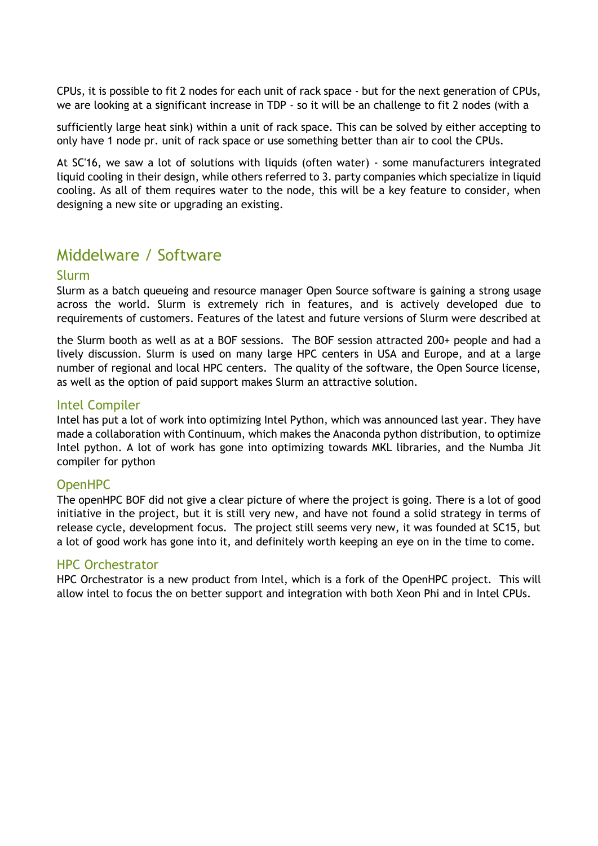CPUs, it is possible to fit 2 nodes for each unit of rack space - but for the next generation of CPUs, we are looking at a significant increase in TDP - so it will be an challenge to fit 2 nodes (with a

sufficiently large heat sink) within a unit of rack space. This can be solved by either accepting to only have 1 node pr. unit of rack space or use something better than air to cool the CPUs.

At SC'16, we saw a lot of solutions with liquids (often water) - some manufacturers integrated liquid cooling in their design, while others referred to 3. party companies which specialize in liquid cooling. As all of them requires water to the node, this will be a key feature to consider, when designing a new site or upgrading an existing.

# <span id="page-4-0"></span>Middelware / Software

#### Slurm

Slurm as a batch queueing and resource manager Open Source software is gaining a strong usage across the world. Slurm is extremely rich in features, and is actively developed due to requirements of customers. Features of the latest and future versions of Slurm were described at

the Slurm booth as well as at a BOF sessions. The BOF session attracted 200+ people and had a lively discussion. Slurm is used on many large HPC centers in USA and Europe, and at a large number of regional and local HPC centers. The quality of the software, the Open Source license, as well as the option of paid support makes Slurm an attractive solution.

#### Intel Compiler

Intel has put a lot of work into optimizing Intel Python, which was announced last year. They have made a collaboration with Continuum, which makes the Anaconda python distribution, to optimize Intel python. A lot of work has gone into optimizing towards MKL libraries, and the Numba Jit compiler for python

#### OpenHPC

The openHPC BOF did not give a clear picture of where the project is going. There is a lot of good initiative in the project, but it is still very new, and have not found a solid strategy in terms of release cycle, development focus. The project still seems very new, it was founded at SC15, but a lot of good work has gone into it, and definitely worth keeping an eye on in the time to come.

#### HPC Orchestrator

<span id="page-4-1"></span>HPC Orchestrator is a new product from Intel, which is a fork of the OpenHPC project. This will allow intel to focus the on better support and integration with both Xeon Phi and in Intel CPUs.